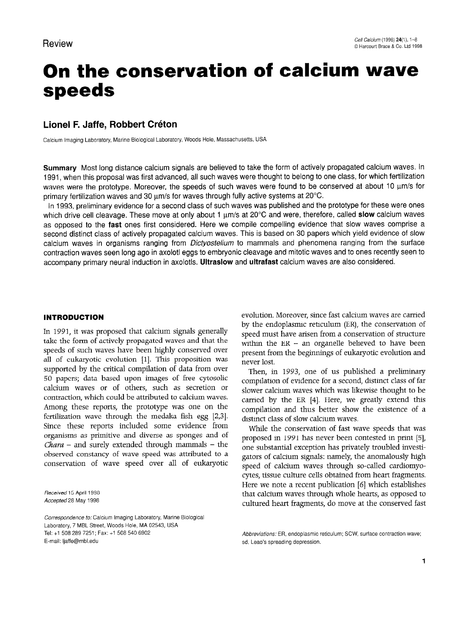# On the conservation of calcium wave speeds

# Lionel F. Jaffe, Robbert Créton

Calcium Imaging Laboratory, Marine Biological Laboratory, Woods Hole, Massachusetts, USA

Summary Most long distance calcium signals are believed to take the form of actively propagated calcium waves. In 1991, when this proposal was first advanced, all such waves were thought to belong to one class, for which fertilization waves were the prototype. Moreover, the speeds of such waves were found to be conserved at about 10 µm/s for primary fertilization waves and 30  $\mu$ m/s for waves through fully active systems at 20 $^{\circ}$ C.

In 1993, preliminary evidence for a second class of such waves was published and the prototype for these were ones which drive cell cleavage. These move at only about 1  $\mu$ m/s at 20 $\degree$ C and were, therefore, called slow calcium waves as opposed to the fast ones first considered. Here we compile compelling evidence that slow waves comprise a second distinct class of actively propagated calcium waves. This is based on 30 papers which yield evidence of slow calcium waves in organisms ranging from *Dictyostelium* to mammals and phenomena ranging from the surface contraction waves seen long ago in axolotl eggs to embryonic cleavage and mitotic waves and to ones recently seen to accompany primary neural induction in axolotls. Ultraslow and ultrafast calcium waves are also considered.

### INTRODUCTION

In 1991, it was proposed that calcium signals generally take the form of actively propagated waves and that the speeds of such waves have been highly conserved over all of eukaryotic evolution [l]. This proposition was supported by the critical compilation of data from over 50 papers; data based upon images of free cytosolic calcium waves or of others, such as secretion or contraction, which could be attributed to calcium waves. Among these reports, the prototype was one on the fertilization wave through the medaka fish egg [2,3]. Since these reports included some evidence from organisms as primitive and diverse as sponges and of  $\sigma$  -  $\sigma$  -  $\sigma$  -  $\sigma$  - the surely depended through  $\sigma$ Chan and surely extended inough mainlines are observed constancy of wave speed was attributed to a conservation of wave speed over all of eukaryotic

Accepted 28 May 1998

Correspondence to: Calcium Imaging Laboratory, Marine Biological Laboratory, 7 MBL Street, Woods Hole, MA 02543, USA Tel: +1 508 289 7251; Fax: +1 508 540 6902<br>E-mail: ljaffe@mbl.edu

evolution. Moreover, since fast calcium waves are carried by the endoplasmic reticulum (ER), the conservation of speed must have arisen from a conservation of structure within the  $ER - an$  organelle believed to have been present from the beginnings of eukaryotic evolution and never lost.

Then, in 1993, one of us published a preliminary compilation of evidence for a second, distinct class of far slower calcium waves which was likewise thought to be carried by the ER [4]. Here, we greatly extend this compilation and thus better show the existence of a distinct class of slow calcium waves.

While the conservation of fast wave speeds that was proposed in 1991 has never been contested in print [5], one substantial exception has privately troubled investigators of calcium signals: namely, the anomalously high sacris of calcium signals, mancry, are anomatomy ins spect of calcum waves unough so cance calcuomyo  $\frac{1}{10}$   $\frac{1}{10}$  which can be a recent publication  $\frac{1}{10}$ there we note a recent publication  $[\sigma]$  which establishes that calcium waves through whole hearts, as opposed to cultured heart fragments, do move at the conserved fast

Abbreviations. Lit, endoplasm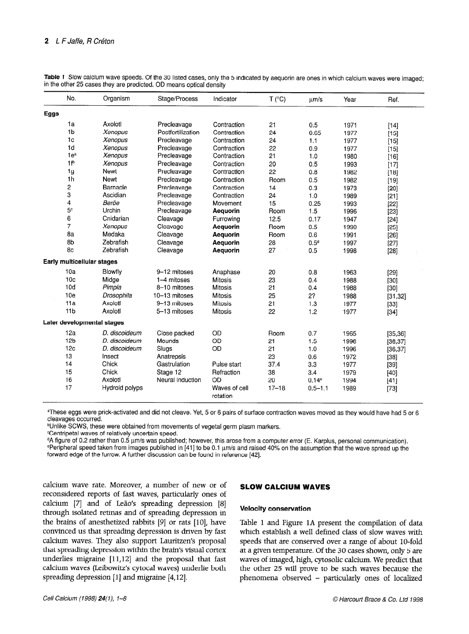| No.                        | Organism       | Stage/Process     | Indicator                 | T (°C)    | um/s             | Year | Ref.     |
|----------------------------|----------------|-------------------|---------------------------|-----------|------------------|------|----------|
| Eggs                       |                |                   |                           |           |                  |      |          |
| 1a                         | Axolotl        | Precleavage       | Contraction               | 21        | 0.5              | 1971 | $[14]$   |
| 1 <sub>b</sub>             | Xenopus        | Postfertilization | Contraction               | 24        | 0.65             | 1977 | $[15]$   |
| 1 <sub>c</sub>             | Xenopus        | Precleavage       | Contraction               | 24        | 1.1              | 1977 | $[15]$   |
| 1d                         | Xenopus        | Precleavage       | Contraction               | 22        | 0.9              | 1977 | [15]     |
| 1e <sup>a</sup>            | Xenopus        | Precleavage       | Contraction               | 21        | 1.0              | 1980 | $[16]$   |
| 1 <sup>b</sup>             | Xenopus        | Precleavage       | Contraction               | 20        | 0.5              | 1993 | [17]     |
| 1 <sub>g</sub>             | Newt           | Precleavage       | Contraction               | 22        | 0.8              | 1982 | [18]     |
| 1 <sub>h</sub>             | <b>Newt</b>    | Precleavage       | Contraction               | Room      | 0.5              | 1982 | $[19]$   |
| 2                          | Barnacle       | Precleavage       | Contraction               | 14        | 0.3              | 1973 | [20]     |
| 3                          | Ascidian       | Precleavage       | Contraction               | 24        | 1.0              | 1989 | $[21]$   |
| 4                          | Beröe          | Precleavage       | Movement                  | 15        | 0.25             | 1993 | [22]     |
| 5 <sup>c</sup>             | Urchin         | Precleavage       | Aequorin                  | Room      | 1.5              | 1996 | $[23]$   |
| 6                          | Cnidarian      | Cleavage          | Furrowing                 | 12.5      | 0.17             | 1947 | $[24]$   |
| $\overline{7}$             | Xenopus        | Cleavage          | <b>Aequorin</b>           | Room      | 0.5              | 1990 | $[25]$   |
| 8a                         | Medaka         | Cleavage          | Aequorin                  | Room      | 0.6              | 1991 | $[26]$   |
| 8b                         | Zebrafish      | Cleavage          | Aequorin                  | 28        | 0.5 <sup>d</sup> | 1997 | $[27]$   |
| 8c                         | Zebrafish      | Cleavage          | Aequorin                  | 27        | 0.5              | 1998 | $[28]$   |
| Early multicellular stages |                |                   |                           |           |                  |      |          |
| 10a                        | Blowfly        | 9-12 mitoses      | Anaphase                  | 20        | 0.8              | 1963 | $[29]$   |
| 10 <sub>c</sub>            | Midge          | 1-4 mitoses       | <b>Milosis</b>            | 23        | 0.4              | 1988 | $[30]$   |
| 10d                        | Pimpla         | 8-10 mitoses      | <b>Mitosis</b>            | 21        | 0.4              | 1988 | [30]     |
| 10 <sub>e</sub>            | Drosophila     | 10-13 mitoses     | <b>Mitosis</b>            | 25        | 2?               | 1988 | [31, 32] |
| 11a                        | Axolotl        | 9-13 mitoses      | <b>Mitosis</b>            | 21        | 1.3              | 1977 | $[33]$   |
| 11 <sub>b</sub>            | Axolotl        | 5-13 mitoses      | <b>Mitosis</b>            | 22        | 1.2              | 1977 | $[34]$   |
| Later developmental stages |                |                   |                           |           |                  |      |          |
| 12a                        | D. discoideum  | Close packed      | OD                        | Room      | 0.7              | 1965 | [35, 36] |
| 12 <sub>b</sub>            | D. discoideum  | Mounds            | OD                        | 21        | 1.5              | 1996 | [36, 37] |
| 12c                        | D. discoideum  | Slugs             | OD                        | 21        | 1.0              | 1996 | [36, 37] |
| 13                         | Insect         | Anatrepsis        |                           | 23        | 0.6              | 1972 | $[38]$   |
| 14                         | Chick          | Gastrulation      | Pulse start               | 37.4      | 3.3              | 1977 | $[39]$   |
| 15                         | Chick          | Stage 12          | Refraction                | 38        | 3.4              | 1979 | $[40]$   |
| 16                         | Axolotl        | Neural induction  | OD                        | 20        | $0.14^e$         | 1994 | $[41]$   |
| 17                         | Hydroid polyps |                   | Waves of cell<br>rotation | $17 - 18$ | $0.5 - 1.1$      | 1989 | $[73]$   |

Table 1 Slow calcium wave speeds. Of the 30 listed cases, only the 5 indicated by aequorin are ones in which calcium waves were imaged; in the other 25 cases they are predicted. OD means optical density

aThese eggs were prick-activated and did not cleave. Yet, 5 or 6 pairs of surface contraction waves moved as they would have had 5 or 6 cleavages occurred.

**bUnlike SCWS, these were obtained from movements of vegetal germ plasm markers.** 

CCentripetal waves of relatively uncertain speed.

dA figure of 0.2 rather than 0.5 urn/s was published; however, this arose from a computer error (E. Karplus, personal communication). ePeripheral speed taken from images published in [41] to be 0.1 urn/s and raised 40% on the assumption that the wave spread up the forward edge of the furrow. A further discussion can be found in reference [42].

calcium wave rate. Moreover, a number of new or of  $SLOW$  CALCIUM WAVES reconsidered reports of fast waves, particularly ones of calcium [7] and of Leão's spreading depression [8]<br>calcium [7] and of Leão's spreading depression [8] Velocity conservation through isolated retinas and of spreading depression in the brains of anesthetized rabbits  $[9]$  or rats  $[10]$ , have convinced us that spreading depression is driven by fast calcium waves. They also support Lauritzen's proposal that spread in the brain with the brain with the brain of the brain of the brain of the brain of the brain of the brain of the brain of the brain of the brain of the brain of the brain of the brain of the brain of the brai underlies migration within the promoving three underlies migraine  $[11,12]$  and the proposal that fast calcium waves (Leibowitz's cytocal waves) underlie both<br>spreading depression [1] and migraine [4,12].

Table 1 and Figure 1A present the compilation of data more i and eigene in present the comphanon of trace spectrum and are conserved over a range of about Indian spectrum in the conserved of a  $\frac{1}{2}$  and  $\frac{1}{2}$  conserved over a range or about 10-tone at a given temperature. Of the 30 cases shown, only 5 are waves of imaged, high, cytosolic calcium. We predict that the other 25 will prove to be such waves because the phenomena observed – particularly ones of localized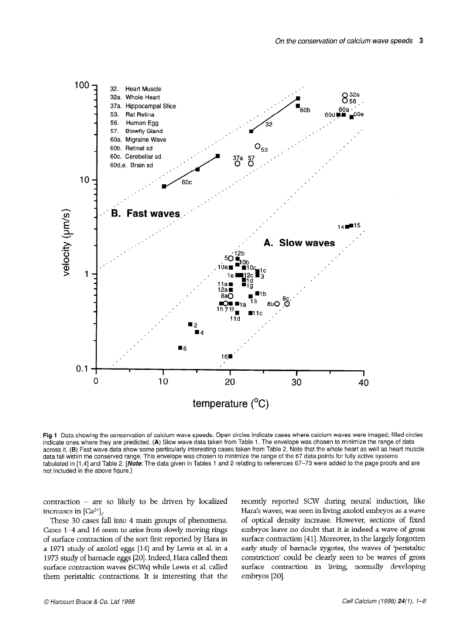

Fig 1 Data showing the conservation of calcium wave speeds. Open circles indicate cases where calcium waves were imaged; filled circles indicate ones where they are predicted. (A) Slow wave data taken from Table 1. The envelope was chosen to minimize the range of data malcate ones whole they are predicted. (H) clow wave data taken from Table 2. The choose the choose to minimize the large of data duries it. (D) I dot wave udid show some particularly interesting cases taken from Table 2. Hole that he whole heart do well do f udid iail within the conserved range. This envelope was chosen to minimize the range or the by-data points for range data systems  $a$  included in  $\left[1, \tau\right]$  and  $a$  above  $\mathcal{L}$ .

contraction of the so likely to be driven by localized by localized by localized by localized by localized by l<br>The social contraction by localized by localized by localized by localized by localized by localized by locali  $\frac{1}{100}$  in  $\frac{1}{100}$ . increases in  $\left[\text{Ca}^{2+}\right]_1$ .<br>These 30 cases fall into 4 main groups of phenomena.

 $C_2$  and  $C_3$  are  $C_4$  and  $C_5$  and  $C_7$  are  $C_8$  and  $C_7$  are  $C_8$  are  $C_9$  are  $C_9$  and  $C_9$  are  $C_9$  are  $C_9$  and  $C_9$  are  $C_9$  are  $C_9$  are  $C_9$  and  $C_9$  are  $C_9$  are  $C_9$  and  $C_9$  are  $C_9$  are  $\frac{1}{4}$  and to seem to anse from slowly moving rings of surface contraction of the sort first reported by Hara in a 1971 study of axolotl eggs [14] and by Lewis et al. in a 1973 study of barnacle eggs [20]. Indeed, Hara called them surface contraction waves (SCWs) while Lewis et al. called<br>them peristaltic contractions. It is interesting that the

recently reported SCW during neural induction, like Hara's reported SCW during neural induction, the Hara's waves, was seen in living axolotl embryos as a wave of optical density increase. However, sections of fixed embryos leave no doubt that it is indeed a wave of gross surface contraction [41]. Moreover, in the largely forgotten early study of barnacle zygotes, the waves of 'peristaltic constriction' could be clearly seen to be waves of gross surface contraction in living, normally developing embryos [20].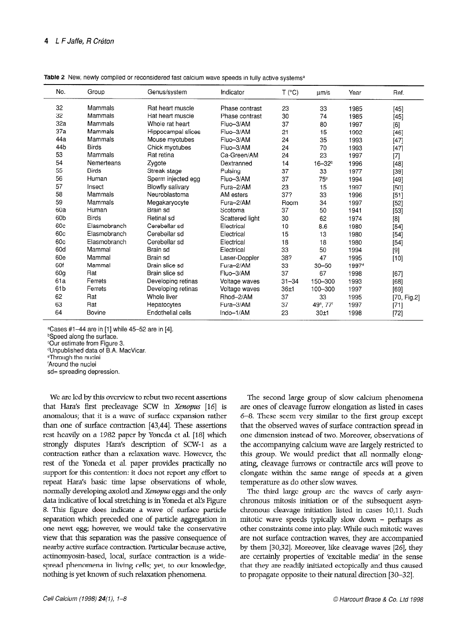| No.             | Group        | Genus/system       | Indicator       | T (°C)    | µm/s                              | Year              | Ref.        |
|-----------------|--------------|--------------------|-----------------|-----------|-----------------------------------|-------------------|-------------|
| 32              | Mammals      | Rat heart muscle   | Phase contrast  | 23        | 33                                | 1985              | $[45]$      |
| 32              | Mammals      | Rat heart muscle   | Phase contrast  | 30        | 74                                | 1985              | $[45]$      |
| 32a             | Mammals      | Whole rat heart    | Fluo-3/AM       | 37        | 80                                | 1997              |             |
| 37a             | Mammals      | Hippocampal slices | Fluo-3/AM       | 21        | 15                                | 1992              | $[46]$      |
| 44a             | Mammals      | Mouse myotubes     | Fluo-3/AM       | 24        | 35                                | 1993              | $[47]$      |
| 44b             | <b>Birds</b> | Chick myotubes     | Fluo-3/AM       | 24        | 70                                | 1993              | $[47]$      |
| 53              | Mammals      | Rat retina         | Ca-Green/AM     | 24        | 23                                | 1997              | $[7]$       |
| 54              | Nemerteans   | Zygote             | Dextranned      | 14        | $16 - 32b$                        | 1996              | $[48]$      |
| 55              | <b>Birds</b> | Streak stage       | Pulsing         | 37        | 33                                | 1977              | [39]        |
| 56              | Human        | Sperm injected egg | Fluo-3/AM       | 37        | 75°                               | 1994              | [49]        |
| 57              | Insect       | Blowfly salivary   | Fura-2/AM       | 23        | 15                                | 1997              | [50]        |
| 58              | Mammals      | Neuroblastoma      | AM esters       | 37?       | 33                                | 1996              | [51]        |
| 59              | Mammals      | Megakaryocyte      | Fura-2/AM       | Room      | 34                                | 1997              | $[52]$      |
| 60a             | Human        | Brain sd           | Scotoma         | 37        | 50                                | 1941              | $[53]$      |
| 60 <sub>b</sub> | <b>Birds</b> | Retinal sd         | Scattered light | 30        | 62                                | 1974              | $[8]$       |
| 60c             | Elasmobranch | Cerebellar sd      | Electrical      | 10        | 8.6                               | 1980              | $[54]$      |
| 60c             | Elasmobranch | Cerebellar sd      | Electrical      | 15        | 13                                | 1980              | $[54]$      |
| 60c             | Elasmobranch | Cerebellar sd      | Electrical      | 18        | 18                                | 1980              | $[54]$      |
| 60d             | Mammal       | Brain sd           | Electrical      | 33        | 50                                | 1994              | $[9]$       |
| 60e             | Mammal       | Brain sd           | Laser-Doppler   | 38?       | 47                                | 1995              | $[10]$      |
| 60f             | Mammal       | Brain slice sd     | Fura-2/AM       | 33        | $30 - 50$                         | 1997 <sup>d</sup> |             |
| 60g             | Rat          | Brain slice sd     | Fluo-3/AM       | 37        | 67                                | 1998              | [67]        |
| 61a             | Ferrets      | Developing retinas | Voltage waves   | $31 - 34$ | 150-300                           | 1993              | [68]        |
| 61b             | Ferrets      | Developing retinas | Voltage waves   | 36±1      | 100-300                           | 1997              | [69]        |
| 62              | Rat          | Whole liver        | Rhod-2/AM       | 37        | 33                                | 1995              | [70, Fig.2] |
| 63              | Rat          | Hepatocytes        | Fura-3/AM       | 37        | 49 <sup>e</sup> , 77 <sup>f</sup> | 1997              | $[71]$      |
| 64              | Bovine       | Endothelial cells  | Indo-1/AM       | 23        | 30±1                              | 1998              | [72]        |

Table 2 New, newly compiled or reconsidered fast calcium wave speeds in fully active systems<sup>a</sup>

 $C$ ases #1-44 are in [1] while 45-52 are in [4].

**bSpeed along the surface.** 

cOur estimate from Figure 3.

dUnpublished data of B.A. MacVicar.

"Through the nuclei

'Around the nuclei

sd= spreading depression.

We are led by this overview to rebut two recent assertions that Hara's first precleavage SCW in Xenopus [16] is anomalous; that it is a wave of surface expansion rather than one of surface contraction [43,44]. These assertions rest heavily on a 1982 paper by Yoneda et al. [18] which strongly disputes Hara's description of SCW-1 as a contraction rather than a relaxation wave. However, the rest of the Yoneda et al. paper provides practically no support for this contention: it does not report any effort to repeat Hara's basic time lapse observations of whole, normally developing axolotl and Xenopus eggs and the only data indicative of local stretching is in Yoneda et al's Figure 8. This figure does indicate a wave of surface particle separation which preceded one of particle aggregation in one newt egg; however, we would take the conservative view that this separation was the passive consequence of nearby active surface contraction. Particular because active, actinomyosin-based, local, surface contraction is a widesementy composed, to out, surface commencing a which spicaci phenomena in nong cens, yet, to out Know

The second large group of slow calcium phenomena are ones of cleavage furrow elongation as listed in cases 6-8. These seem very similar to the first group except that the observed waves of surface contraction spread in one dimension instead of two. Moreover, observations of the accompanying calcium wave are largely restricted to this group. We would predict that all normally elongating, cleavage furrows or contractile arcs will prove to elongate within the same range of speeds at a given temperature as do other slow waves.

The third large group are the waves of early asynchronous mitosis mitosis initiatives of the subsequent asymchronous mass mature of or the subsequent asym $m_{\text{tot}}$  and  $m_{\text{tot}}$  as  $n_{\text{tot}}$  as  $n_{\text{tot}}$  as  $n_{\text{tot}}$  as  $n_{\text{tot}}$  as  $n_{\text{tot}}$ mitotic wave specus typically slow down – perhaps as other constraints come into play. While such mitotic waves<br>are not surface contraction waves, they are accompanied by the sume comaction waves, they are accompanied by are consequently properties of  $\epsilon$  in the sense  $\epsilon$  in the sense sense in the sense sense in the sense in the sense in the sense in the sense in the sense in the sense in the sense in the sense in the sense in the se are certainly properties of 'excitable media' in the sense that they are readily initiated ectopically and thus caused<br>to propagate opposite to their natural direction [30-32].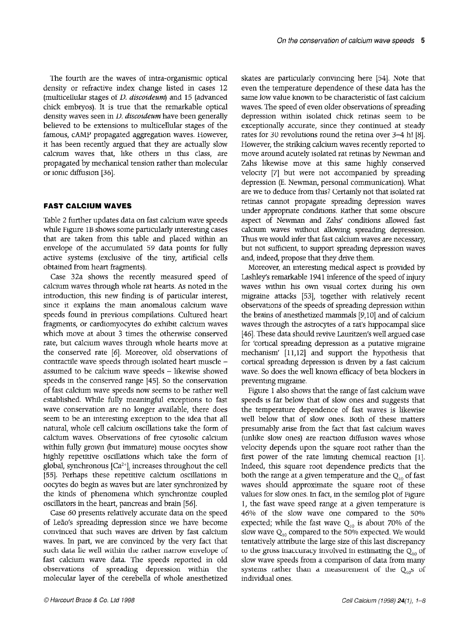The fourth are the waves of intra-organismic optical density or refractive index change listed in cases 12 (multicellular stages of D. discoideum) and 15 (advanced chick embryos). It is true that the remarkable optical density waves seen in *D. discoideum* have been generally believed to be extensions to multicellular stages of the famous, CAMP propagated aggregation waves. However, it has been recently argued that they are actually slow calcium waves that, like others in this class, are propagated by mechanical tension rather than molecular or ionic diffusion [36].

# FAST CALCIUM WAVES

Table 2 further updates data on fast calcium wave speeds while Figure 1B shows some particularly interesting cases that are taken from this table and placed within an envelope of the accumulated 59 data points for fully active systems (exclusive of the tiny, artificial cells obtained from heart fragments).

Case 32a shows the recently measured speed of calcium waves through whole rat hearts. As noted in the introduction, this new finding is of particular interest, since it explains the main anomalous calcium wave speeds found in previous compilations. Cultured heart fragments, or cardiomyocytes do exhibit calcium waves which move at about 3 times the otherwise conserved rate, but calcium waves through whole hearts move at the conserved rate [6]. Moreover, old observations of contractile wave speeds through isolated heart muscle assumed to be calcium wave speeds - likewise showed speeds in the conserved range 1451. So the conservation of fast calcium wave speeds now seems to be rather well established. While fully meaningful exceptions to fast wave conservation are no longer available, there does seem to be an interesting exception to the idea that all natural, whole cell calcium oscillations take the form of calcium waves. Observations of free cytosolic calcium within fully grown (but immature) mouse oocytes show highly repetitive oscillations which take the form of grow appearing community which was the cell of  $1555m$ ,  $9.11m$  then  $10m$   $1m$   $1m$   $1m$   $1m$ obegin as waves by a but and the community of the later synchronized by a later synchronized by a later synchronized by a later synchronized by a later synchronized by a later synchronized by a later synchronized by a late the kinds of phenomena which synchronized by the kinds of phenomena which synchronize coupled oscillators in the heart, pancreas and brain [56].

Case 60 presents relatively accurate data on the speed as of presents retaining accurace and on the specu conclude that such wave the such wave become convinced that such waves are driven by fast calcium waves. In part, we are convinced by the very fact that such data lie well within the rather narrow envelope of fast calcium wave data. The speeds reported in old observations of spreading depression within the molecular layer of the cerebella of whole anesthetized skates are particularly convincing here [54]. Note that even the temperature dependence of these data has the same low value known to be characteristic of fast calcium waves. The speed of even older observations of spreading depression within isolated chick retinas seem to be exceptionally accurate, since they continued at steady rates for 30 revolutions round the retina over 3-4 h! [S]. However, the striking calcium waves recently reported to move around acutely isolated rat retinas by Newman and Zahs likewise move at this same highly conserved velocity [7] but were not accompanied by spreading depression (E. Newman, personal communication). What are we to deduce from this? Certainly not that isolated rat retinas cannot propagate spreading depression waves under appropriate conditions. Rather that some obscure aspect of Newman and Zahs' conditions allowed fast calcium waves without allowing spreading depression. Thus we would infer that fast calcium waves are necessary but not sufficient, to support spreading depression waves and, indeed, propose that they drive them.

Moreover, an interesting medical aspect is provided by Lashley's remarkable 1941 inference of the speed of injury waves within his own visual cortex during his own migraine attacks [53], together with relatively recent observations of the speeds of spreading depression within the brains of anesthetized mammals [9,10] and of calcium waves through the astrocytes of a rat's hippocampal slice [46]. These data should revive Lauritzen's well argued case for 'cortical spreading depression as a putative migraine mechanism' [11,12] and support the hypothesis that cortical spreading depression is driven by a fast calcium wave. So does the well known efficacy of beta blockers in preventing migraine.

Figure 1 also shows that the range of fast calcium wave speeds is far below that of slow ones and suggests that the temperature dependence of fast waves is likewise well below that of slow ones. Both of these matters presumably arise from the fact that fast calcium waves (unlike slow ones) are reaction diffusion waves whose velocity depends upon the square root rather than the first power of the rate limiting chemical reaction [l].  $\frac{1}{1}$  I dependence provide the root dependence predicted predicted predicted predicted predicted predicted predicted provide the set of  $\frac{1}{2}$ both the square root appendence predicts that the both the range at a given temperature and the  $Q_{10}$  of fast waves should approximate the square root of these values for slow ones. In fact, in the semilog plot of Figure 1, the fast wave speed range at a given temperature is 46% of the slow wave one compared to the 50% expected; while the fast wave  $Q_{10}$  is about 70% of the slow wave  $Q_{10}$  compared to the 50% expected. We would tentatively attribute the large size of this last discrepancy to the gross inaccuracy involved in estimating the  $Q_{10}$  of slow wave speeds from a comparison of data from many systems rather than a measurement of the  $Q_{10}$ s of individual ones.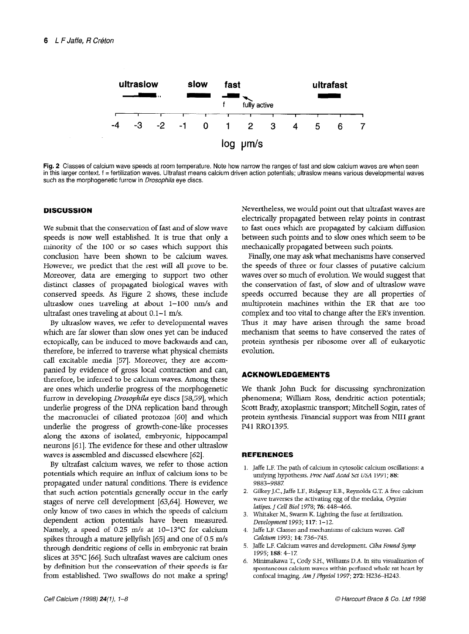

Fig. 2 Classes of calcium wave speeds at room temperature. Note how narrow the ranges of fast and slow calcium waves are when seen in this larger context. f = fertilization waves. Ultrafast means calcium driven action potentials; ultraslow means various developmental waves such as the morphogenetic furrow in Drosophila eye discs.

# **DISCUSSION**

We submit that the conservation of fast and of slow wave speeds is now well established. It is true that only a minority of the 100 or so cases which support this conclusion have been shown to be calcium waves. However, we predict that the rest will all prove to be. Moreover, data are emerging to support two other distinct classes of propagated biological waves with conserved speeds. As Figure 2 shows, these include ultraslow ones traveling at about  $1-100$  nm/s and ultrafast ones traveling at about  $0.1 - 1$  m/s.

By ultraslow waves, we refer to developmental waves which are far slower than slow ones yet can be induced ectopically, can be induced to move backwards and can, therefore, be inferred to traverse what physical chemists call excitable media [57]. Moreover, they are accompanied by evidence of gross local contraction and can, therefore, be inferred to be calcium waves. Among these are ones which underlie progress of the morphogenetic furrow in developing *Drosophila* eye discs [58,59], which underlie progress of the DNA replication band through the macronuclei of ciliated protozoa [60] and which underlie the progress of growth-cone-like processes along the axons of isolated, embryonic, hippocampal neurons [61]. The evidence for these and other ultraslow waves is assembled and discussed elsewhere [62].

By ultrafast calcium waves, we refer to those action potentials which require an influx of calcium ions to be potentials which require an unital or calculations to be propagated under natural conditions. There is evidence that such action potentials generally occur in the early stages of here can development  $[0,0,0,1]$ . However, we only know of two cases in which the speeds of calcium dependent action potentials have been measured. Namely, a speed of 0.25 m/s at  $10-13^{\circ}$ C for calcium spikes through a mature jellyfish  $[65]$  and one of 0.5 m/s through dendritic regions of cells in embryonic rat brain slices at 35°C [66]. Such ultrafast waves are calcium ones by definition but the conservation of their speeds is far<br>from established. Two swallows do not make a spring!

Nevertheless, we would point out that ultrafast waves are electrically propagated between relay points in contrast to fast ones which are propagated by calcium diffusion between such points and to slow ones which seem to be mechanically propagated between such points.

Finally, one may ask what mechanisms have conserved the speeds of three or four classes of putative calcium waves over so much of evolution. We would suggest that the conservation of fast, of slow and of ultraslow wave speeds occurred because they are all properties of multiprotein machines within the ER that are too complex and too vital to change after the ER's invention. Thus it may have arisen through the same broad mechanism that seems to have conserved the rates of protein synthesis per ribosome over all of eukaryotic evolution.

# ACKNOWLEDGEMENTS

We thank John Buck for discussing synchronization phenomena; William Ross, dendritic action potentials; Scott Brady, axoplasmic transport; Mitchell Sogin, rates of protein synthesis. Financial support was from NIH grant P41 RR01395.

## REFERENCES

- 1. Jaffe L.F. The path of calcium in cytosolic calcium oscillations: a ane i.i. The pain of calcium in cytosofic calcium osci unifying hypothesis. Proc Natl Acad Sci USA 1991; 88:<br>9883-9887.  $2003 - 2001.$
- Glikey J.C., Jahe L.F., Ridgway E.D., Reynolds G.T. A free c wave traverses the activating egg of the medaka, Oryzias<br>latipes. J Cell Biol 1978; 76: 448-466.  $a$ apes. J. Cen biot 1970, To. 440-400.
- vintaker *m.*, swarin K. lignu Development 1993; 117: 1-12.
- 4. Jaffe L.F. Classes and mechanisms of calcium waves. Cell Calcium 1993; 14: 736-745.
- 5. Jaffe L.F. Calcium waves and development. Ciba Found Symp 1995: 188: 4-17.
- 6. Minimakawa T., Cody S.H., Williams D.A. In situ visualization of spontaneous calcium waves within perfused whole rat heart by confocal imaging. Am J Physiol 1997; 272: H236-H243.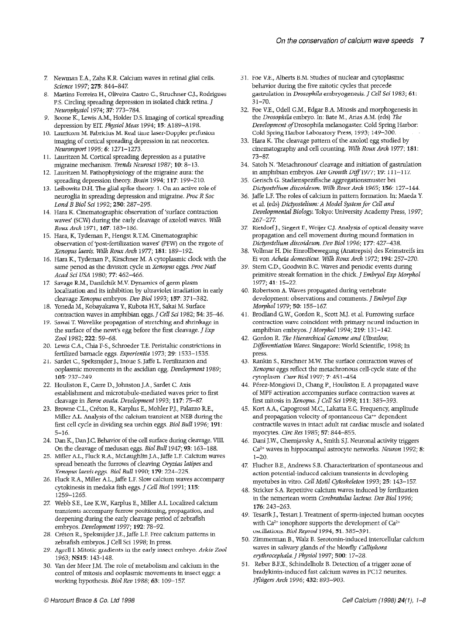- 7. Newman E.A., Zahs K.R. Calcium waves in retinal glial cells. Science 1997; 275: 844-847.
- 8. Martins-Ferreira H., Oliveira-Castro G., Struchner C.J., Rodrigues P.S. Circling spreading depression in isolated chick retina. J Neurophysiol 1974; 37: 773-784.
- 9. Boone K., Lewis A.M., Holder D.S. Imaging of cortical spreading depression by EIT. Physiol Meas 1994; 15: A189-A198.
- 10. Lauritzen M. Fabricius M. Real time laser-Doppler perfusion imaging of cortical spreading depression in rat neocortex. Neuroreport 1995; 6: 1271-1273.
- 11. Lauritzen M. Cortical spreading depression as a putative migraine mechanism. Trends Neurosci 1987; 10: 8-13.
- 12. Lauritzen M. Pathophysiology of the migraine aura: the spreading depression theory. Brain 1994; 117: 199-210.
- 13. Leibowitz D.H. The glial spike theory. 1. On an active role of neuroglia in spreading depression and migraine. Proc R Sot Lond B Biol Sci 1992; 250: 287-295.
- 14. Hara K. Cinematographic observation of 'surface contraction waves' (SCW) during the early cleavage of axolotl waves. Wilh RouxArch 1971; 167: 183-186.
- 15. Hara, K. Tydeman P. Hengst P.T.M. Cinematograph observation of 'post-fertilization waves' (PFW) on the zygote of Xenopus Levis. Wilh Roux Arch 1977; 181: 189-192.
- 16. Hara K., Tydeman P., Kirschner M. A cytoplasmic clock with the same period as the division cycle in Xenopus eggs. Proc Natl Acad Sci USA 1980; 77: 462-466.
- 1% Savage R.M., Danilchik M.V. Dynamics of germ plasm 18. Yoneda M., Kobayakawa Y, Kubota H.Y., Sakai M. Surface localization and its inhibition by ultraviolet irradiation in early cleavage Xenopus embryos. Dev Biol 1993; 157: 371-382.
- 19. Sawai T. Wavelike propagation of stretching and shrinkage in contraction waves in amphibian eggs. J Cell Sci 1982; 54: 35-46.
- 20. Lewis CA., Chia F-S., Schroeder T.E. Peristaltic constrictions in the surface of the newt's egg before the first cleavage.  $J$  Exp Zool 1982; 222: 59-68.
- 21. Sardet C., Speksnijder C., Speksnijder J., Inoue S. Japan.<br>D. S. J., O. G., J., U.L., J. J., G. J. C. J. Fertilization and fertilized barnacle eggs. Experientia 1973; 29: 1533-1535.
- 22. Houliston E., Carre D., Johnston J.A., Sardet C. Axis ooplasmic movements in the ascidian egg. Development 1989; 105: 237-249.
- $\frac{23.6}{25.6}$  $\frac{1}{2}$ claavage in Beroe ovat development 1993; 117: 75-87.
- 24. Dan K., Dan J.C. Behavior of the cell surface during cleavage. VIII.  $M_{\text{F}}$  and  $M_{\text{F}}$  are calcium transient at  $N_{\text{F}}$  the calcium transient at  $N_{\text{F}}$ filmer *the mary sis* of the eggenhalum transferre at 1996 and 1996; 191: first cell cycle in dividing sea urchin eggs. *Biol Bull* 1996; **191**:<br>5–16.
- 25. Dan K, Dan K, Denavior of the cen summer during creavage.  $\theta$ On the cleavage of inequisant eggs. *Blot Blut 1941*, 99.  $105 - 100$ .
- sprinct A.L., Furrows A.A., including the furrows of caterians w spread beneath the furrows of cleaving Oryzias latipes and Xenopus laevis eggs. Biol Bull 1990, 179: 224-225.
- 27 Webb S.E., Lee K.W., Karplus E., Miller A.L. Localized calcium  $\Gamma$ IUCK K.A., IVILIJET A.L., JAHE L.F. SIOW CALCIUM WAVES A cytokinesis in medaka fish eggs. J Cell Biol 1991; 115: 1259-1265.
- webb S.E., Lee K.W., Kalpius E., while A.L. Localized Calciul transients accompany furrow positioning, propagation, and deepening during the early cleavage period of zebrafish embryos. Development 1997: 192: 78-92.
- 28. Créton R., Speksnijder J.E., Jaffe L.F. Free calcium patterns in zebrafish embryos. J Cell Sci 1998; In press.
- Agrell I. Mitotic gradients in the early insect embryo. Arkiv Zool 1963; NS15: 143-148.
- van der Meer J.M. The role of metabolism and calcium in the control of mitosis and ooplasmic movements in insect eggs: a working hypothesis. Biol Rev 1988; 63: 109-157.
- 31. Foe V.E., Alberts B.M. Studies of nuclear and cytoplasmic behavior during the five mitotic cycles that precede gastrulation in Drosophila embryogenesis. J Cell Sci 1983; 61: 31-70.
- 32. Foe V.E., Odell G.M., Edgar B.A. Mitosis and morphogenesis in the Drosophila embryo. In: Bate M., Arias A.M. (eds) The Development of Drosophila melanogaster. Cold Spring Harbor: Cold Spring Harbor Laboratory Press, 1993; 149-300.
- 33. Hara K. The cleavage pattern of the axolotl egg studied by cinematography and cell counting. Wilh Roux Arch 1977; 181: 73-87
- 34. Satoh N. 'Metachronous' cleavage and initiation of gastrulation in amphibian embryos. Dev Growth Diff 1977; 19: 111-117.
- 35. Gerisch G. Stadienspezifische aggregationsmuster bei Dictyostelium discoideum. Wilh Roux Arch 1965; 156: 127-144.
- 36. Jaffe L.F. The roles of calcium in pattern formation. In: Maeda Y. et al. (eds) Dictyostelium: A Model System for Cell and Developmental Biology. Tokyo: University Academy Press, 1997; 267-277
- 27 Dietdorf J. Siegert F. Weijer C.J. Analysis of optical density wave propagation and cell movement during mound formation in Dictyostelium discoideum. Dev Biol 1996; 177: 427-438.
- 38. Vollmar H. Die Einrollbewegung (Anatrepsis) des Keimstreifs im Ei von Acheta domesticus. Wilh Roux Arch 1972; 194: 257-270.
- 39. Stern CD., Goodwin B.C. Waves and periodic events during primitive streak formation in the chick. J Embryol Exp Morphol 1977; 41: 15-22.
- 40. Robertson A. Waves propagated during vertebrate development: observations and comments. *J Embryol Exp* Morph01 1979; 50: 155-167.
- $\mu$ <sub>1.</sub> Brodland G.W. Gordon R., Scott M.J. et al. Furrowing surface  $\overline{G}$ .  $\overline{G}$  and  $\overline{G}$  and  $\overline{H}$  architecture and  $\overline{H}$ contraction wave coincident with primary neural induction in amphibian embryos. J Morphol 1994; 219: 131-142.
- $D(X \cup Y)$  we have  $D(X \cup Y)$  in  $D(X \cup Y)$  in  $D(X \cup Y)$ press.
- 43. Rankin S., Kirschner M.W. The surface contraction waves of Xenopus eggs reflect the metachronous cell-cycle state of the cytoplasm. Curr Biol 1997; 7: 451-454.
- $\frac{1}{4}$ .  $\frac{1}{4}$ . Perez-Mongia P.,  $\frac{1}{4}$ . Propagated wave  $\frac{1}{4}$ .  $\frac{1}{4}$   $\frac{1}{4}$   $\frac{1}{4}$   $\frac{1}{4}$   $\frac{1}{4}$   $\frac{1}{4}$   $\frac{1}{4}$   $\frac{1}{4}$   $\frac{1}{4}$   $\frac{1}{4}$   $\frac{1}{4}$   $\frac{1}{4}$   $\frac{1}{4}$   $\frac{1}{4}$   $\frac{1}{4}$   $\frac{1}{4}$ of MPF activation accompanies surface contraction waves at first mitosis in Xenopus. J Cell Sci 1998; 111: 385-393.
- $\frac{1}{100}$ and may capogrossi me., maxama cat. Hequency, ampi and propaganon velocity of spontaneous can dependent contractile waves in intact adult rat cardiac muscle and isolated myocytes. Circ Res 1985; 57: 844–855.
- 47 Flucher B.E., Andrews S.B. Characterization of spontaneous and Dain j. w., Chempolis in, militi s.j. Neurona activity urggens.  $\rm Ca^{2+}$  waves in hippocampal astrocyte networks. Neuron 1992; 8: 1–20.
- ridenci d.e., Andrews d.d. Characterization of spontaneo action potential-induced calcium transients in developing myotubes in vitro. Cell Motil Cytoskeleton 1993; 25: 143-157.
- $170.243 203.$ suit de nemertean word de developpe de vermerte de la construction de la construction de la construction de la in the nemertean worm Cerebratulus lacteus. Dev Biol 1996;<br>176: 243–263.
- resam J., restart J. Freament of sperif-injected fidular with Ca<sup>2+</sup> ionophore supports the development of Ca<sup>2+</sup> oscillations. Biol Reprod 1994; 51: 385-391.
- ziminerinan B., waiz B. Serotonin-induced mte waves in salivary glands of the blowfly Calliphora erythrocephala. J Physiol 1997; 500: 17-28.
- 51. Reber B.F.X., Schindelholz B. Detection of a trigger zone of bradykinin-induced fast calcium waves in PC12 neurites.<br>Pflügers Arch 1996; 432: 893-903.